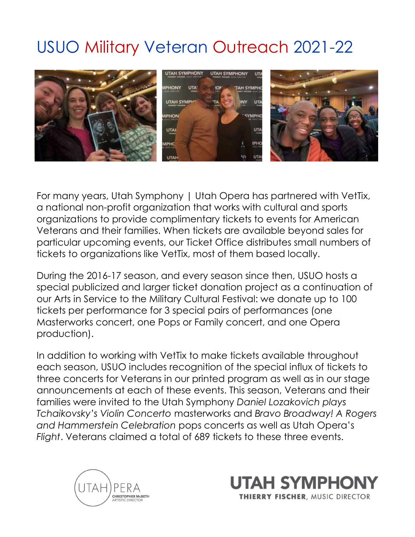## USUO Military Veteran Outreach 2021-22



For many years, Utah Symphony | Utah Opera has partnered with VetTix, a national non-profit organization that works with cultural and sports organizations to provide complimentary tickets to events for American Veterans and their families. When tickets are available beyond sales for particular upcoming events, our Ticket Office distributes small numbers of tickets to organizations like VetTix, most of them based locally.

During the 2016-17 season, and every season since then, USUO hosts a special publicized and larger ticket donation project as a continuation of our Arts in Service to the Military Cultural Festival: we donate up to 100 tickets per performance for 3 special pairs of performances (one Masterworks concert, one Pops or Family concert, and one Opera production).

In addition to working with VetTix to make tickets available throughout each season, USUO includes recognition of the special influx of tickets to three concerts for Veterans in our printed program as well as in our stage announcements at each of these events. This season, Veterans and their families were invited to the Utah Symphony Daniel Lozakovich plays Tchaikovsky's Violin Concerto masterworks and Bravo Broadway! A Rogers and Hammerstein Celebration pops concerts as well as Utah Opera's Flight. Veterans claimed a total of 689 tickets to these three events.



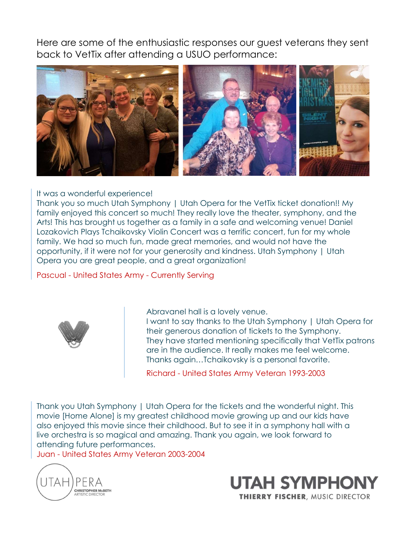Here are some of the enthusiastic responses our guest veterans they sent back to VetTix after attending a USUO performance:



## It was a wonderful experience!

Thank you so much Utah Symphony | Utah Opera for the VetTix ticket donation!! My family enjoyed this concert so much! They really love the theater, symphony, and the Arts! This has brought us together as a family in a safe and welcoming venue! Daniel Lozakovich Plays Tchaikovsky Violin Concert was a terrific concert, fun for my whole family. We had so much fun, made great memories, and would not have the opportunity, if it were not for your generosity and kindness. Utah Symphony | Utah Opera you are great people, and a great organization!

Pascual - United States Army - Currently Serving



Abravanel hall is a lovely venue. I want to say thanks to the Utah Symphony | Utah Opera for their generous donation of tickets to the Symphony. They have started mentioning specifically that VetTix patrons are in the audience. It really makes me feel welcome.

Thanks again…Tchaikovsky is a personal favorite.

Richard - United States Army Veteran 1993-2003

Thank you Utah Symphony | Utah Opera for the tickets and the wonderful night. This movie [Home Alone] is my greatest childhood movie growing up and our kids have also enjoyed this movie since their childhood. But to see it in a symphony hall with a live orchestra is so magical and amazing. Thank you again, we look forward to attending future performances.

Juan - United States Army Veteran 2003-2004